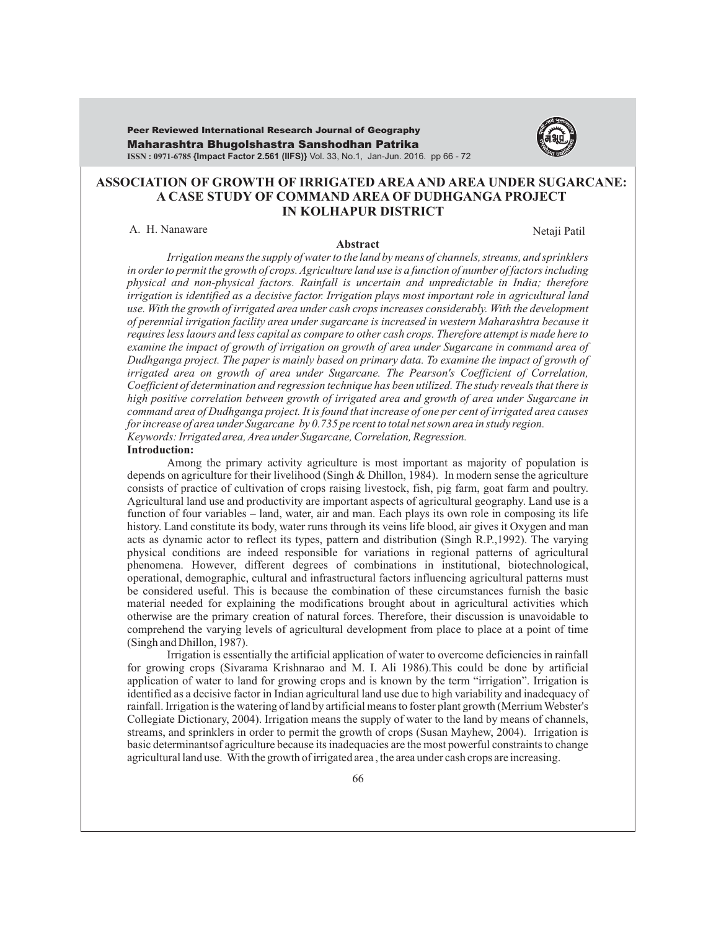Maharashtra Bhugolshastra Sanshodhan Patrika **ISSN : 0971-6785 {Impact Factor 2.561 (IIFS)}** Vol. 33, No.1, Jan-Jun. 2016. pp 66 - 72 Peer Reviewed International Research Journal of Geography



## **ASSOCIATION OF GROWTH OF IRRIGATED AREAAND AREA UNDER SUGARCANE: A CASE STUDY OF COMMAND AREA OF DUDHGANGA PROJECT IN KOLHAPUR DISTRICT**

A. H. Nanaware Netaji Patil

#### **Abstract**

*Irrigation means the supply of water to the land by means of channels, streams, and sprinklers in order to permit the growth of crops. Agriculture land use is a function of number of factors including physical and non-physical factors. Rainfall is uncertain and unpredictable in India; therefore irrigation is identified as a decisive factor. Irrigation plays most important role in agricultural land use. With the growth of irrigated area under cash crops increases considerably. With the development of perennial irrigation facility area under sugarcane is increased in western Maharashtra because it requires less laours and less capital as compare to other cash crops. Therefore attempt is made here to examine the impact of growth of irrigation on growth of area under Sugarcane in command area of Dudhganga project. The paper is mainly based on primary data. To examine the impact of growth of irrigated area on growth of area under Sugarcane. The Pearson's Coefficient of Correlation, Coefficient of determination and regression technique has been utilized. The study reveals that there is high positive correlation between growth of irrigated area and growth of area under Sugarcane in command area of Dudhganga project. It is found that increase of one per cent of irrigated area causes for increase of area under Sugarcane by 0.735 pe rcent to total net sown area in study region. Keywords: Irrigated area, Area under Sugarcane, Correlation, Regression.*

#### **Introduction:**

Among the primary activity agriculture is most important as majority of population is depends on agriculture for their livelihood (Singh & Dhillon, 1984). In modern sense the agriculture consists of practice of cultivation of crops raising livestock, fish, pig farm, goat farm and poultry. Agricultural land use and productivity are important aspects of agricultural geography. Land use is a function of four variables – land, water, air and man. Each plays its own role in composing its life history. Land constitute its body, water runs through its veins life blood, air gives it Oxygen and man acts as dynamic actor to reflect its types, pattern and distribution (Singh R.P.,1992). The varying physical conditions are indeed responsible for variations in regional patterns of agricultural phenomena. However, different degrees of combinations in institutional, biotechnological, operational, demographic, cultural and infrastructural factors influencing agricultural patterns must be considered useful. This is because the combination of these circumstances furnish the basic material needed for explaining the modifications brought about in agricultural activities which otherwise are the primary creation of natural forces. Therefore, their discussion is unavoidable to comprehend the varying levels of agricultural development from place to place at a point of time (Singh and Dhillon, 1987).

Irrigation is essentially the artificial application of water to overcome deficiencies in rainfall for growing crops (Sivarama Krishnarao and M. I. Ali 1986).This could be done by artificial application of water to land for growing crops and is known by the term "irrigation". Irrigation is identified as a decisive factor in Indian agricultural land use due to high variability and inadequacy of rainfall. Irrigation is the watering of land by artificial means to foster plant growth (Merrium Webster's Collegiate Dictionary, 2004). Irrigation means the supply of water to the land by means of channels, streams, and sprinklers in order to permit the growth of crops (Susan Mayhew, 2004). Irrigation is basic determinantsof agriculture because its inadequacies are the most powerful constraints to change agricultural land use. With the growth of irrigated area , the area under cash crops are increasing.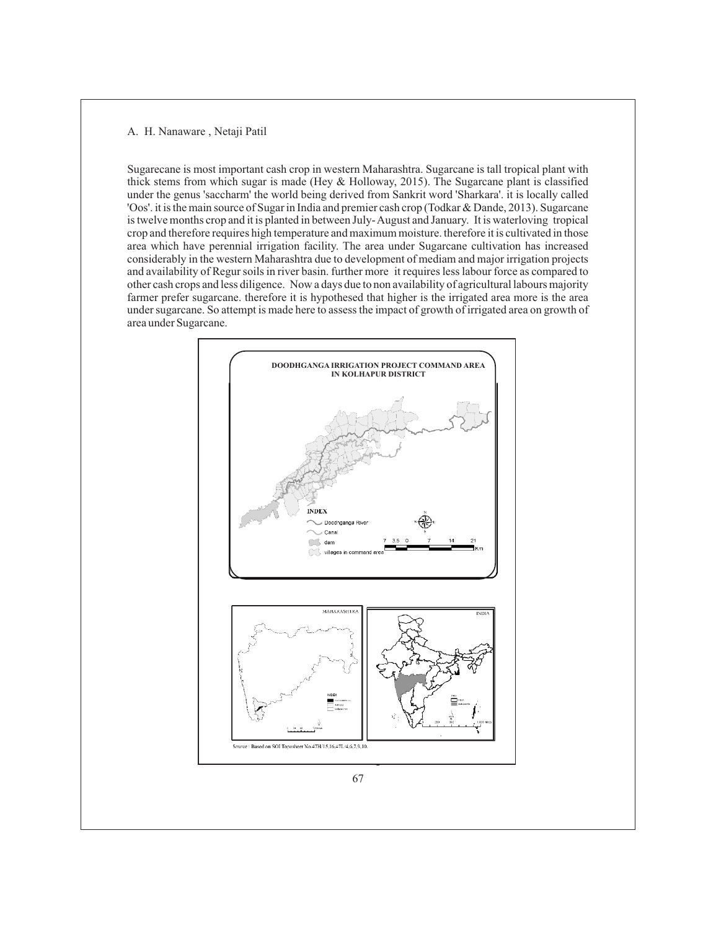Sugarecane is most important cash crop in western Maharashtra. Sugarcane is tall tropical plant with thick stems from which sugar is made (Hey & Holloway, 2015). The Sugarcane plant is classified under the genus 'saccharm' the world being derived from Sankrit word 'Sharkara'. it is locally called 'Oos'. it is the main source of Sugar in India and premier cash crop (Todkar & Dande, 2013). Sugarcane is twelve months crop and it is planted in between July- August and January. It is waterloving tropical crop and therefore requires high temperature and maximum moisture. therefore it is cultivated in those area which have perennial irrigation facility. The area under Sugarcane cultivation has increased considerably in the western Maharashtra due to development of mediam and major irrigation projects and availability of Regur soils in river basin. further more it requires less labour force as compared to other cash crops and less diligence. Now a days due to non availability of agricultural labours majority farmer prefer sugarcane. therefore it is hypothesed that higher is the irrigated area more is the area under sugarcane. So attempt is made here to assess the impact of growth of irrigated area on growth of area under Sugarcane.

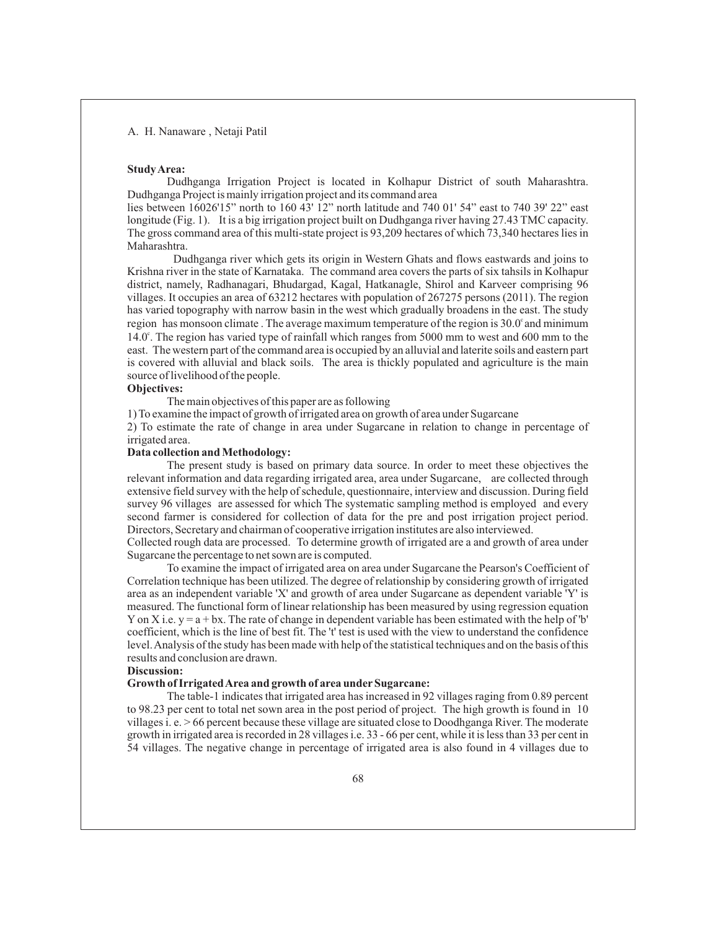### **Study Area:**

Dudhganga Irrigation Project is located in Kolhapur District of south Maharashtra. Dudhganga Project is mainly irrigation project and its command area

lies between 16026'15" north to 160 43' 12" north latitude and 740 01' 54" east to 740 39' 22" east longitude (Fig. 1). It is a big irrigation project built on Dudhganga river having 27.43 TMC capacity. The gross command area of this multi-state project is 93,209 hectares of which 73,340 hectares lies in Maharashtra.

Dudhganga river which gets its origin in Western Ghats and flows eastwards and joins to Krishna river in the state of Karnataka. The command area covers the parts of six tahsils in Kolhapur district, namely, Radhanagari, Bhudargad, Kagal, Hatkanagle, Shirol and Karveer comprising 96 villages. It occupies an area of 63212 hectares with population of 267275 persons (2011). The region has varied topography with narrow basin in the west which gradually broadens in the east. The study region has monsoon climate. The average maximum temperature of the region is  $30.0^{\circ}$  and minimum 14.0°. The region has varied type of rainfall which ranges from 5000 mm to west and 600 mm to the east. The western part of the command area is occupied by an alluvial and laterite soils and eastern part is covered with alluvial and black soils. The area is thickly populated and agriculture is the main source of livelihood of the people.

## **Objectives:**

The main objectives of this paper are as following

1) To examine the impact of growth of irrigated area on growth of area under Sugarcane

2) To estimate the rate of change in area under Sugarcane in relation to change in percentage of irrigated area.

## **Data collection and Methodology:**

The present study is based on primary data source. In order to meet these objectives the relevant information and data regarding irrigated area, area under Sugarcane, are collected through extensive field survey with the help of schedule, questionnaire, interview and discussion. During field survey 96 villages are assessed for which The systematic sampling method is employed and every second farmer is considered for collection of data for the pre and post irrigation project period. Directors, Secretary and chairman of cooperative irrigation institutes are also interviewed.

Collected rough data are processed. To determine growth of irrigated are a and growth of area under Sugarcane the percentage to net sown are is computed.

To examine the impact of irrigated area on area under Sugarcane the Pearson's Coefficient of Correlation technique has been utilized. The degree of relationship by considering growth of irrigated area as an independent variable 'X' and growth of area under Sugarcane as dependent variable 'Y' is measured. The functional form of linear relationship has been measured by using regression equation Y on X i.e.  $y = a + bx$ . The rate of change in dependent variable has been estimated with the help of 'b' coefficient, which is the line of best fit. The 't' test is used with the view to understand the confidence level. Analysis of the study has been made with help of the statistical techniques and on the basis of this results and conclusion are drawn.

## **Discussion:**

## **Growth of Irrigated Area and growth of area underSugarcane:**

The table-1 indicates that irrigated area has increased in 92 villages raging from 0.89 percent to 98.23 per cent to total net sown area in the post period of project. The high growth is found in 10 villages i. e. > 66 percent because these village are situated close to Doodhganga River. The moderate growth in irrigated area is recorded in 28 villages i.e. 33 - 66 per cent, while it is less than 33 per cent in 54 villages. The negative change in percentage of irrigated area is also found in 4 villages due to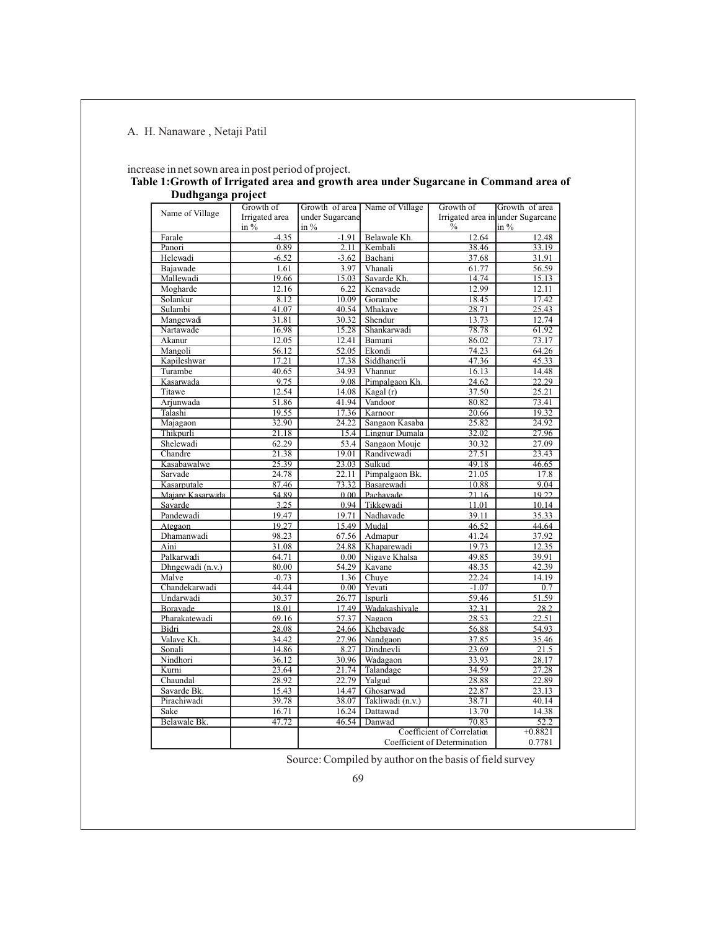| Name of Village<br>Farale | Growth of                |                            |                                  |                                                                                              |                   |  |
|---------------------------|--------------------------|----------------------------|----------------------------------|----------------------------------------------------------------------------------------------|-------------------|--|
|                           | Irrigated area<br>in $%$ | under Sugarcane<br>in $\%$ | Growth of area   Name of Village | Growth of<br>Growth of area<br>Irrigated area in under Sugarcane<br>$\frac{0}{0}$<br>$\ln\%$ |                   |  |
|                           | $-4.35$                  | $-1.91$                    | Belawale Kh.                     | 12.64                                                                                        | 12.48             |  |
| Panori                    | 0.89                     | 2.11                       | Kembali                          | 38.46                                                                                        | 33.19             |  |
| Helewadi                  | $-6.52$                  | $-3.62$                    | Bachani                          | 37.68                                                                                        | 31.91             |  |
| Bajawade                  | 1.61                     | 3.97                       | Vhanali                          | 61.77                                                                                        | 56.59             |  |
| Mallewadi                 | 19.66                    | 15.03                      | Savarde Kh.                      | 14.74                                                                                        | 15.13             |  |
| Mogharde                  | 12.16                    | 6.22                       | Kenavade                         | 12.99                                                                                        | 12.11             |  |
| Solankur                  | 8.12                     | 10.09                      | Gorambe                          | 18.45                                                                                        | 17.42             |  |
| Sulambi                   | 41.07                    | 40.54                      | Mhakave                          | 28.71                                                                                        | 25.43             |  |
| Mangewadi                 | 31.81                    | 30.32                      | Shendur                          | 13.73                                                                                        | 12.74             |  |
| Nartawade                 | 16.98                    | 15.28                      | Shankarwadi                      | 78.78                                                                                        | 61.92             |  |
| Akanur                    | 12.05                    | 12.41                      | Bamani                           | 86.02                                                                                        | 73.17             |  |
| Mangoli                   | 56.12                    | 52.05                      | Ekondi                           | 74.23                                                                                        | 64.26             |  |
| Kapileshwar               | 17.21                    | 17.38                      | Siddhanerli                      | 47.36                                                                                        | 45.33             |  |
| Turambe                   | 40.65                    | 34.93                      | Vhannur                          | 16.13                                                                                        | 14.48             |  |
| Kasarwada                 | 9.75                     | 9.08                       | Pimpalgaon Kh.                   | 24.62                                                                                        | 22.29             |  |
| Titawe                    | 12.54                    | 14.08                      | Kagal (r)                        | 37.50                                                                                        | 25.21             |  |
| Arjunwada                 | 51.86                    | 41.94                      | Vandoor                          | 80.82                                                                                        | 73.41             |  |
| Talashi                   | 19.55                    | 17.36                      | Karnoor                          | 20.66                                                                                        | 19.32             |  |
| Majagaon                  | 32.90                    | $\sqrt{24.22}$             | Sangaon Kasaba                   | 25.82                                                                                        | 24.92             |  |
| Thikpurli                 | 21.18                    | 15.4                       | Lingnur Dumala                   | 32.02                                                                                        | 27.96             |  |
| Shelewadi                 | 62.29                    | 53.4                       | Sangaon Mouje                    | 30.32                                                                                        | 27.09             |  |
| Chandre                   | 21.38                    | 19.01                      | Randivewadi                      | 27.51                                                                                        | 23.43             |  |
| Kasabawalwe               | 25.39                    |                            | 23.03   Sulkud                   | 49.18                                                                                        | 46.65             |  |
| Sarvade                   | 24.78                    | 22.11                      | Pimpalgaon Bk.                   | 21.05                                                                                        | 17.8              |  |
| Kasarputale               | 87.46                    | 73.32                      | Basarewadi                       | 10.88                                                                                        | 9,04              |  |
| Majare Kasarwala          | 54.89                    | 0.001                      | Pachavade                        | 21.16                                                                                        | 19.22             |  |
| Savarde                   | 3.25                     | 0.94                       | Tikkewadi                        | 11.01                                                                                        | 10.14             |  |
| Pandewadi                 | 19.47                    | 19.71                      | Nadhavade                        | 39.11                                                                                        | 35.33             |  |
| Ategaon                   | 19.27                    | 15.49                      | Mudal                            | 46.52                                                                                        | 44.64             |  |
| Dhamanwadi                | 98.23                    | 67.56                      | Admapur                          | 41.24                                                                                        | 37.92             |  |
| Aini                      | 31.08                    | 24.88                      | Khaparewadi                      | 19.73                                                                                        | 12.35             |  |
| Palkarwadi                | 64.71                    | 0.00                       | Nigave Khalsa                    | 49.85                                                                                        | 39.91             |  |
| Dhngewadi (n.v.)          | 80.00                    | 54.29                      | Kavane                           | 48.35                                                                                        | 42.39             |  |
| Malve                     | $-0.73$                  | 1.36                       | Chuye                            | 22.24                                                                                        | 14.19             |  |
| Chandekarwadi             | 44.44                    | $0.00\vert$                | Yevati                           | $-1.07$                                                                                      | 0.7               |  |
| Undarwadi                 | 30.37                    | 26.77                      | Ispurli                          | 59.46                                                                                        | 51.59             |  |
| Boravade                  | 18.01                    | 17.49                      | Wadakashivale                    | 32.31                                                                                        | 28.2              |  |
| Pharakatewadi             | 69.16                    | 57.37                      | Nagaon                           | 28.53                                                                                        | 22.51             |  |
| Bidri                     | 28.08                    | 24.66                      | Khebavade                        | 56.88                                                                                        | 54.93             |  |
| Valave Kh.                | 34.42                    | 27.96                      | Nandgaon                         | 37.85                                                                                        | 35.46             |  |
| Sonali                    | 14.86                    | 8.27                       | Dindnevli                        | 23.69                                                                                        | 21.5              |  |
| Nindhori                  | 36.12                    | 30.96                      | Wadagaon                         | 33.93                                                                                        | 28.17             |  |
| Kurni                     | 23.64                    | 21.74                      | Talandage                        | 34.59                                                                                        | 27.28             |  |
| Chaundal                  | 28.92                    | 22.79                      | Yalgud                           | 28.88                                                                                        | 22.89             |  |
| Savarde Bk.               | 15.43                    | 14.47                      | Ghosarwad                        | 22.87                                                                                        | 23.13             |  |
| Pirachiwadi               | 39.78                    | 38.07                      | Takliwadi (n.v.)                 | 38.71                                                                                        | 40.14             |  |
| Sake                      | 16.71                    | 16.24                      | Dattawad                         | 13.70                                                                                        | 14.38             |  |
| Belawale Bk.              | 47.72                    | 46.54                      | Danwad                           | 70.83<br>Coefficient of Correlation                                                          | 52.2<br>$+0.8821$ |  |
|                           |                          |                            |                                  |                                                                                              |                   |  |

# increase in net sown area in post period of project. **Table 1: Growth of Irrigated area and growth area under Sugarcane in Command area of**

Source: Compiled by author on the basis of field survey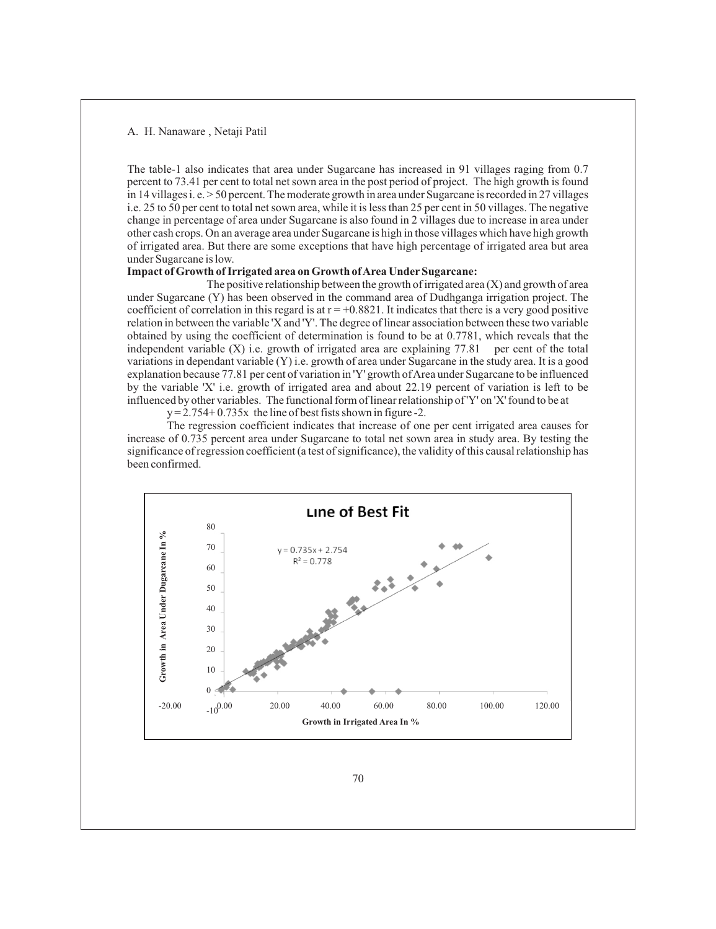The table-1 also indicates that area under Sugarcane has increased in 91 villages raging from 0.7 percent to 73.41 per cent to total net sown area in the post period of project. The high growth is found in 14 villages i. e. > 50 percent. The moderate growth in area under Sugarcane is recorded in 27 villages i.e. 25 to 50 per cent to total net sown area, while it is less than 25 per cent in 50 villages. The negative change in percentage of area under Sugarcane is also found in 2 villages due to increase in area under other cash crops. On an average area under Sugarcane is high in those villages which have high growth of irrigated area. But there are some exceptions that have high percentage of irrigated area but area under Sugarcane is low.

## **Impact of Growth of Irrigated area on Growth of Area UnderSugarcane:**

The positive relationship between the growth of irrigated area  $(X)$  and growth of area under Sugarcane (Y) has been observed in the command area of Dudhganga irrigation project. The coefficient of correlation in this regard is at  $r = +0.8821$ . It indicates that there is a very good positive relation in between the variable 'X and 'Y'. The degree of linear association between these two variable obtained by using the coefficient of determination is found to be at 0.7781, which reveals that the independent variable  $(X)$  i.e. growth of irrigated area are explaining 77.81 per cent of the total variations in dependant variable (Y) i.e. growth of area under Sugarcane in the study area. It is a good explanation because 77.81 per cent of variation in 'Y' growth of Area under Sugarcane to be influenced by the variable 'X' i.e. growth of irrigated area and about 22.19 percent of variation is left to be influenced by other variables. The functional form of linear relationship of 'Y' on 'X' found to be at

 $y = 2.754 + 0.735x$  the line of best fists shown in figure -2.

The regression coefficient indicates that increase of one per cent irrigated area causes for increase of 0.735 percent area under Sugarcane to total net sown area in study area. By testing the significance of regression coefficient (a test of significance), the validity of this causal relationship has been confirmed.

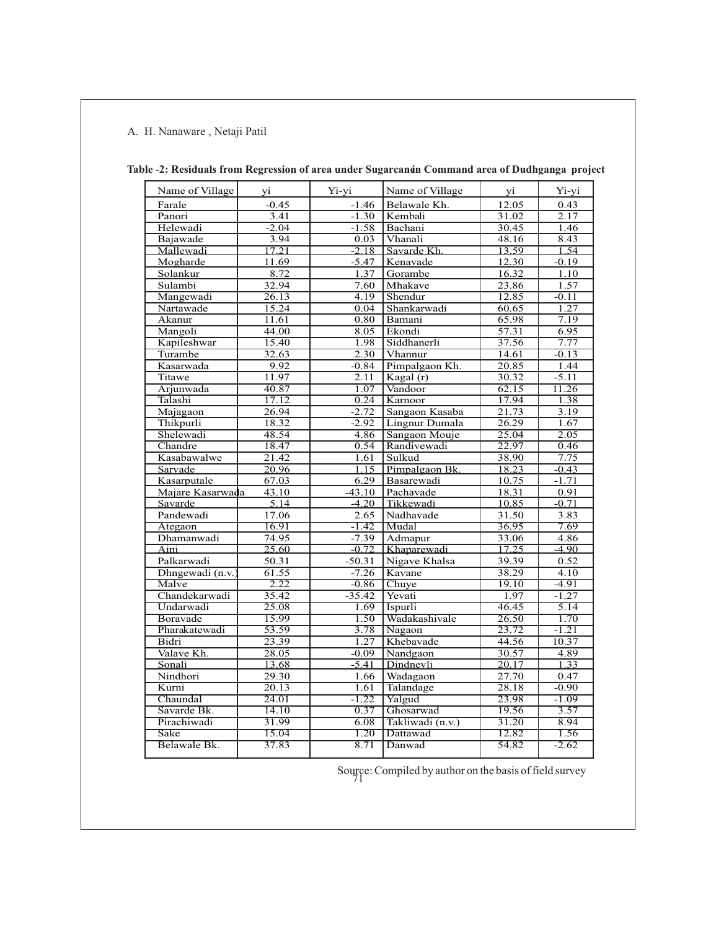| Name of Village  | yi                 | Yi-yi             | Name of Village               | yi                 | Yi-yi   |
|------------------|--------------------|-------------------|-------------------------------|--------------------|---------|
| Farale           | $-0.45$            | $-1.46$           | Belawale Kh.                  | 12.05              | 0.43    |
| Panori           | 3.41               | $-1.30$           | Kembali                       | 31.02              | 2.17    |
| Helewadi         | $-2.04$            | $-1.58$           | Bachani                       | 30.45              | 1.46    |
| Bajawade         | 3.94               | 0.03              | Vhanali                       | 48.16              | 8.43    |
| Mallewadi        | 17.21              | $-2.18$           | Savarde Kh.                   | 13.59              | 1.54    |
| Mogharde         | 11.69              | $-5.47$           | Kenavade                      | 12.30              | $-0.19$ |
| Solankur         | 8.72               | 1.37              | Gorambe                       | 16.32              | 1.10    |
| Sulambi          | 32.94              | 7.60              | Mhakave                       | 23.86              | 1.57    |
| Mangewadi        | $\overline{26.13}$ | 4.19              | Shendur                       | 12.85              | $-0.11$ |
| Nartawade        | 15.24              | 0.04              | Shankarwadi                   | 60.65              | 1.27    |
| Akanur           | 11.61              | 0.80              | Bamani                        | 65.98              | 7.19    |
| Mangoli          | 44.00              | 8.05              | Ekondi                        | $\overline{57.31}$ | 6.95    |
| Kapileshwar      | 15.40              | 1.98              | Siddhanerli                   | 37.56              | 7.77    |
| Turambe          | 32.63              | $\overline{2.30}$ | Vhannur                       | 14.61              | $-0.13$ |
| Kasarwada        | 9.92               | $-0.84$           | Pimpalgaon Kh.                | 20.85              | 1.44    |
| Titawe           | 11.97              | 2.11              | $\overline{\text{Kagal (r)}}$ | 30.32              | $-5.11$ |
| Arjunwada        | 40.87              | 1.07              | Vandoor                       | 62.15              | 11.26   |
| Talashi          | 17.12              | 0.24              | Karnoor                       | 17.94              | 1.38    |
| Majagaon         | 26.94              | $-2.72$           | Sangaon Kasaba                | 21.73              | 3.19    |
| Thikpurli        | 18.32              | $-2.92$           | Lingnur Dumala                | 26.29              | 1.67    |
| Shelewadi        | 48.54              | 4.86              | Sangaon Mouje                 | 25.04              | 2.05    |
| Chandre          | 18.47              | 0.54              | Randivewadi                   | 22.97              | 0.46    |
| Kasabawalwe      | 21.42              | 1.61              | Sulkud                        | 38.90              | 7.75    |
| Sarvade          | 20.96              | 1.15              | Pimpalgaon Bk.                | 18.23              | $-0.43$ |
| Kasarputale      | 67.03              | 6.29              | Basarewadi                    | 10.75              | $-1.71$ |
| Majare Kasarwada | 43.10              | $-43.10$          | Pachavade                     | 18.31              | 0.91    |
| Savarde          | 5.14               | $-4.20$           | Tikkewadi                     | 10.85              | $-0.71$ |
| Pandewadi        | 17.06              | 2.65              | Nadhavade                     | 31.50              | 3.83    |
| Ategaon          | 16.91              | $-1.42$           | Mudal                         | 36.95              | 7.69    |
| Dhamanwadi       | 74.95              | $-7.39$           | Admapur                       | 33.06              | 4.86    |
| Aini             | 25.60              | $-0.72$           | Khaparewadi                   | 17.25              | $-4.90$ |
| Palkarwadi       | 50.31              | $-50.31$          | Nigave Khalsa                 | 39.39              | 0.52    |
| Dhngewadi (n.v.  | 61.55              | $-7.26$           | Kavane                        | 38.29              | 4.10    |
| Malve            | 2.22               | $-0.86$           | Chuye                         | 19.10              | $-4.91$ |
| Chandekarwadi    | 35.42              | $-35.42$          | Yevati                        | 1.97               | $-1.27$ |
| Undarwadi        | 25.08              | 1.69              | Ispurli                       | 46.45              | 5.14    |
| Boravade         | 15.99              | 1.50              | Wadakashivale                 | 26.50              | 1.70    |
| Pharakatewadi    | 53.59              | 3.78              | Nagaon                        | 23.72              | $-1.21$ |
| <b>Bidri</b>     | 23.39              | 1.27              | Khebavade                     | 44.56              | 10.37   |
| Valave Kh.       | $\overline{28.05}$ | $-0.09$           | Nandgaon                      | 30.57              | 4.89    |
| Sonali           | 13.68              | $-5.41$           | Dindnevli                     | 20.17              | 1.33    |
| Nindhori         | 29.30              | 1.66              | Wadagaon                      | 27.70              | 0.47    |
| Kurni            | $\overline{20.13}$ | 1.61              | Talandage                     | 28.18              | $-0.90$ |
| Chaundal         | 24.01              | $-1.22$           | Yalgud                        | 23.98              | $-1.09$ |
| Savarde Bk.      | 14.10              | 0.37              | Ghosarwad                     | 19.56              | 3.57    |
| Pirachiwadi      | 31.99              | 6.08              | Takliwadi (n.v.)              | 31.20              | 8.94    |
| Sake             | 15.04              | 1.20              | Dattawad                      | 12.82              | 1.56    |
| Belawale Bk.     | 37.83              | 8.71              | Danwad                        | 54.82              | $-2.62$ |
|                  |                    |                   |                               |                    |         |

## **Table** -**2: Residuals from Regression of area under Sugarcanein Command area of Dudhganga project**

Source: Compiled by author on the basis of field survey 71